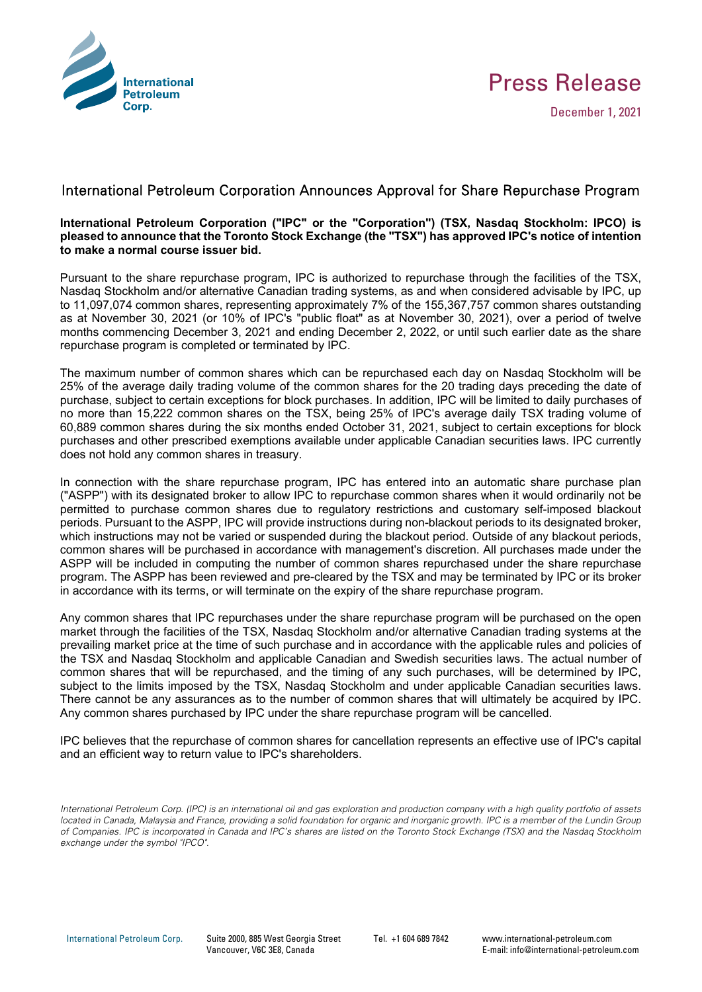



# International Petroleum Corporation Announces Approval for Share Repurchase Program

## **International Petroleum Corporation ("IPC" or the "Corporation") (TSX, Nasdaq Stockholm: IPCO) is pleased to announce that the Toronto Stock Exchange (the "TSX") has approved IPC's notice of intention to make a normal course issuer bid.**

Pursuant to the share repurchase program, IPC is authorized to repurchase through the facilities of the TSX, Nasdaq Stockholm and/or alternative Canadian trading systems, as and when considered advisable by IPC, up to 11,097,074 common shares, representing approximately 7% of the 155,367,757 common shares outstanding as at November 30, 2021 (or 10% of IPC's "public float" as at November 30, 2021), over a period of twelve months commencing December 3, 2021 and ending December 2, 2022, or until such earlier date as the share repurchase program is completed or terminated by IPC.

The maximum number of common shares which can be repurchased each day on Nasdaq Stockholm will be 25% of the average daily trading volume of the common shares for the 20 trading days preceding the date of purchase, subject to certain exceptions for block purchases. In addition, IPC will be limited to daily purchases of no more than 15,222 common shares on the TSX, being 25% of IPC's average daily TSX trading volume of 60,889 common shares during the six months ended October 31, 2021, subject to certain exceptions for block purchases and other prescribed exemptions available under applicable Canadian securities laws. IPC currently does not hold any common shares in treasury.

In connection with the share repurchase program, IPC has entered into an automatic share purchase plan ("ASPP") with its designated broker to allow IPC to repurchase common shares when it would ordinarily not be permitted to purchase common shares due to regulatory restrictions and customary self-imposed blackout periods. Pursuant to the ASPP, IPC will provide instructions during non-blackout periods to its designated broker, which instructions may not be varied or suspended during the blackout period. Outside of any blackout periods, common shares will be purchased in accordance with management's discretion. All purchases made under the ASPP will be included in computing the number of common shares repurchased under the share repurchase program. The ASPP has been reviewed and pre-cleared by the TSX and may be terminated by IPC or its broker in accordance with its terms, or will terminate on the expiry of the share repurchase program.

Any common shares that IPC repurchases under the share repurchase program will be purchased on the open market through the facilities of the TSX, Nasdaq Stockholm and/or alternative Canadian trading systems at the prevailing market price at the time of such purchase and in accordance with the applicable rules and policies of the TSX and Nasdaq Stockholm and applicable Canadian and Swedish securities laws. The actual number of common shares that will be repurchased, and the timing of any such purchases, will be determined by IPC, subject to the limits imposed by the TSX, Nasdaq Stockholm and under applicable Canadian securities laws. There cannot be any assurances as to the number of common shares that will ultimately be acquired by IPC. Any common shares purchased by IPC under the share repurchase program will be cancelled.

IPC believes that the repurchase of common shares for cancellation represents an effective use of IPC's capital and an efficient way to return value to IPC's shareholders.

*International Petroleum Corp. (IPC) is an international oil and gas exploration and production company with a high quality portfolio of assets located in Canada, Malaysia and France, providing a solid foundation for organic and inorganic growth. IPC is a member of the Lundin Group of Companies. IPC is incorporated in Canada and IPC's shares are listed on the Toronto Stock Exchange (TSX) and the Nasdaq Stockholm exchange under the symbol "IPCO".* 

International Petroleum Corp. Suite 2000, 885 West Georgia Street Vancouver, V6C 3E8, Canada